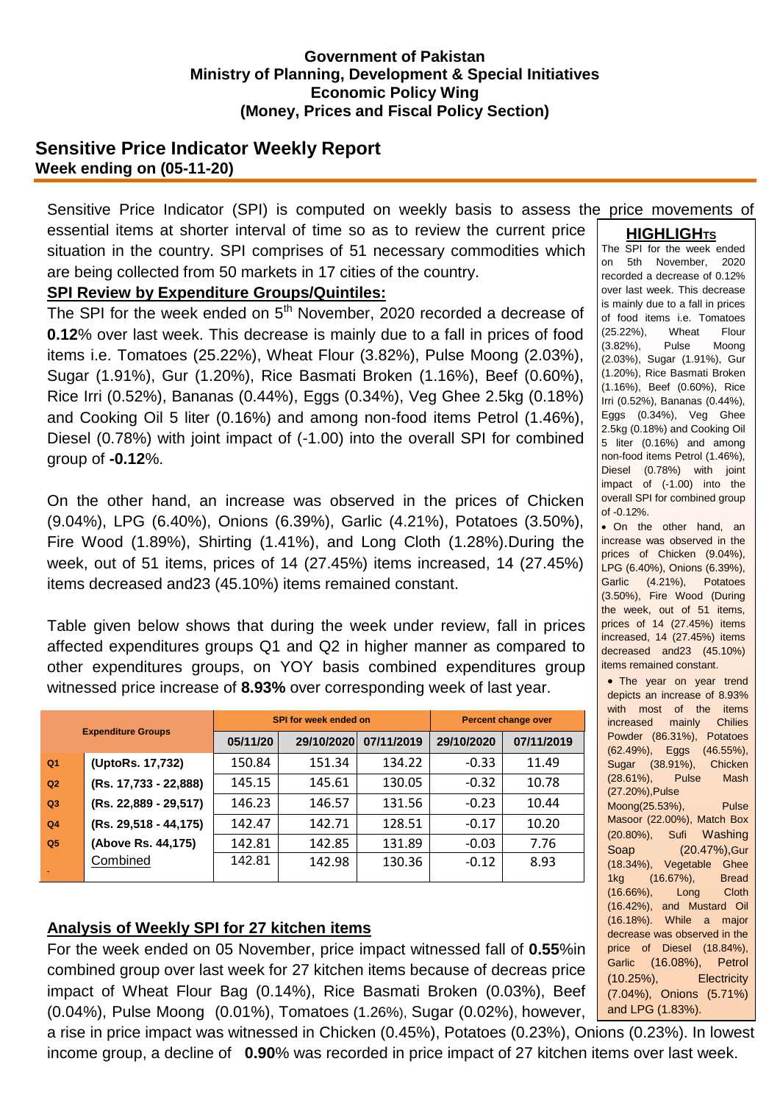#### **Government of Pakistan Ministry of Planning, Development & Special Initiatives Economic Policy Wing (Money, Prices and Fiscal Policy Section)**

## **Sensitive Price Indicator Weekly Report Week ending on (05-11-20)**

**HIGHLIGHTS** Sensitive Price Indicator (SPI) is computed on weekly basis to assess the price movements of essential items at shorter interval of time so as to review the current price situation in the country. SPI comprises of 51 necessary commodities which are being collected from 50 markets in 17 cities of the country.

## **SPI Review by Expenditure Groups/Quintiles:**

The SPI for the week ended on  $5<sup>th</sup>$  November, 2020 recorded a decrease of **0.12**% over last week. This decrease is mainly due to a fall in prices of food items i.e. Tomatoes (25.22%), Wheat Flour (3.82%), Pulse Moong (2.03%), Sugar (1.91%), Gur (1.20%), Rice Basmati Broken (1.16%), Beef (0.60%), Rice Irri (0.52%), Bananas (0.44%), Eggs (0.34%), Veg Ghee 2.5kg (0.18%) and Cooking Oil 5 liter (0.16%) and among non-food items Petrol (1.46%), Diesel (0.78%) with joint impact of (-1.00) into the overall SPI for combined group of **-0.12**%.

On the other hand, an increase was observed in the prices of Chicken (9.04%), LPG (6.40%), Onions (6.39%), Garlic (4.21%), Potatoes (3.50%), Fire Wood (1.89%), Shirting (1.41%), and Long Cloth (1.28%).During the week, out of 51 items, prices of 14 (27.45%) items increased, 14 (27.45%) items decreased and23 (45.10%) items remained constant.

Table given below shows that during the week under review, fall in prices affected expenditures groups Q1 and Q2 in higher manner as compared to other expenditures groups, on YOY basis combined expenditures group witnessed price increase of **8.93%** over corresponding week of last year.

| <b>Expenditure Groups</b> |                       | <b>SPI for week ended on</b> |            |            | <b>Percent change over</b> |            |  |
|---------------------------|-----------------------|------------------------------|------------|------------|----------------------------|------------|--|
|                           |                       | 05/11/20                     | 29/10/2020 | 07/11/2019 | 29/10/2020                 | 07/11/2019 |  |
| Q <sub>1</sub>            | (UptoRs. 17,732)      | 150.84                       | 151.34     | 134.22     | $-0.33$                    | 11.49      |  |
| Q2                        | (Rs. 17,733 - 22,888) | 145.15                       | 145.61     | 130.05     | $-0.32$                    | 10.78      |  |
| Q3                        | (Rs. 22,889 - 29,517) | 146.23                       | 146.57     | 131.56     | $-0.23$                    | 10.44      |  |
| Q <sub>4</sub>            | (Rs. 29,518 - 44,175) | 142.47                       | 142.71     | 128.51     | $-0.17$                    | 10.20      |  |
| Q <sub>5</sub>            | (Above Rs. 44,175)    | 142.81                       | 142.85     | 131.89     | $-0.03$                    | 7.76       |  |
|                           | Combined              | 142.81                       | 142.98     | 130.36     | $-0.12$                    | 8.93       |  |

# **Analysis of Weekly SPI for 27 kitchen items**

For the week ended on 05 November, price impact witnessed fall of **0.55**%in combined group over last week for 27 kitchen items because of decreas price impact of Wheat Flour Bag (0.14%), Rice Basmati Broken (0.03%), Beef (0.04%), Pulse Moong (0.01%), Tomatoes (1.26%), Sugar (0.02%), however,

a rise in price impact was witnessed in Chicken (0.45%), Potatoes (0.23%), Onions (0.23%). In lowest income group, a decline of **0.90**% was recorded in price impact of 27 kitchen items over last week.

The SPI for the week ended on 5th November, 2020 recorded a decrease of 0.12% over last week. This decrease is mainly due to a fall in prices of food items i.e. Tomatoes (25.22%), Wheat Flour (3.82%), Pulse Moong (2.03%), Sugar (1.91%), Gur (1.20%), Rice Basmati Broken (1.16%), Beef (0.60%), Rice Irri (0.52%), Bananas (0.44%), Eggs (0.34%), Veg Ghee 2.5kg (0.18%) and Cooking Oil 5 liter (0.16%) and among non-food items Petrol (1.46%), Diesel (0.78%) with joint impact of (-1.00) into the overall SPI for combined group of -0.12%. • On the other hand, an increase was observed in the prices of Chicken (9.04%), LPG (6.40%), Onions (6.39%),

Garlic (4.21%), Potatoes (3.50%), Fire Wood (During the week, out of 51 items, prices of 14 (27.45%) items increased, 14 (27.45%) items decreased and23 (45.10%) items remained constant.

• The year on year trend depicts an increase of 8.93% with most of the items increased mainly Chilies Powder (86.31%), Potatoes (62.49%), Eggs (46.55%), Sugar (38.91%), Chicken (28.61%), Pulse Mash (27.20%),Pulse Moong(25.53%), Pulse Masoor (22.00%), Match Box (20.80%), Sufi Washing Soap (20.47%),Gur (18.34%), Vegetable Ghee 1kg (16.67%), Bread (16.66%), Long Cloth (16.42%), and Mustard Oil (16.18%). While a major decrease was observed in the price of Diesel (18.84%), Garlic (16.08%), Petrol (10.25%), Electricity (7.04%), Onions (5.71%) and LPG (1.83%).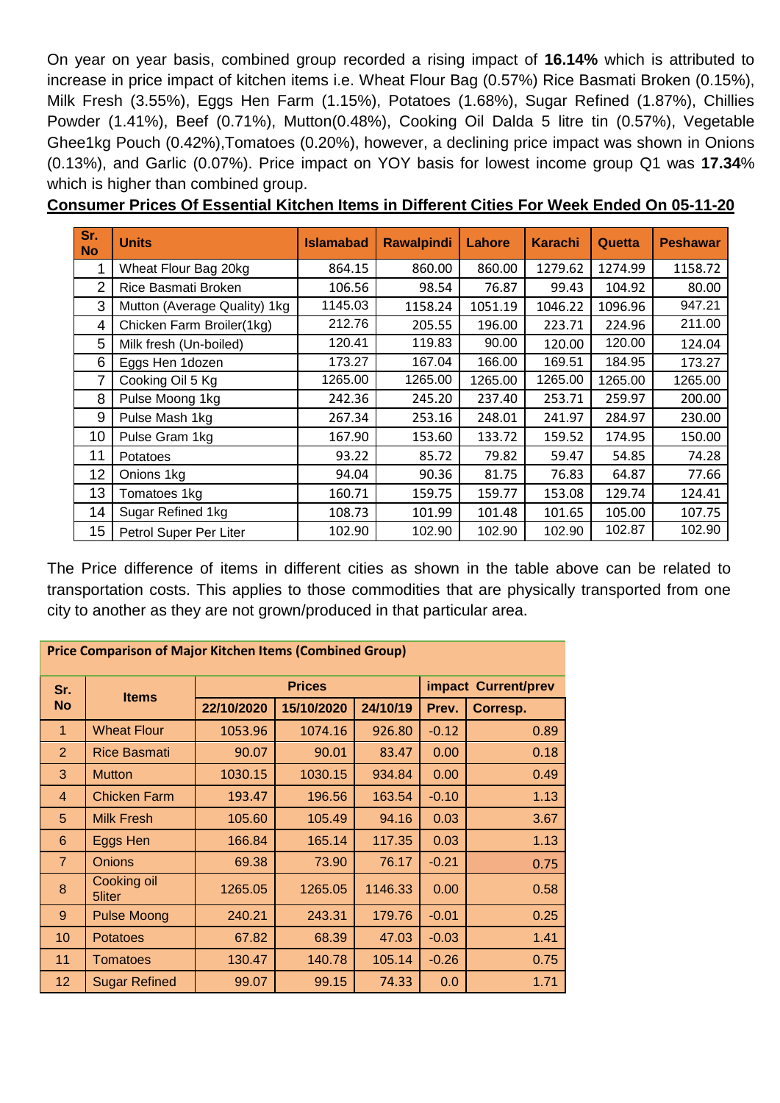On year on year basis, combined group recorded a rising impact of **16.14%** which is attributed to increase in price impact of kitchen items i.e. Wheat Flour Bag (0.57%) Rice Basmati Broken (0.15%), Milk Fresh (3.55%), Eggs Hen Farm (1.15%), Potatoes (1.68%), Sugar Refined (1.87%), Chillies Powder (1.41%), Beef (0.71%), Mutton(0.48%), Cooking Oil Dalda 5 litre tin (0.57%), Vegetable Ghee1kg Pouch (0.42%),Tomatoes (0.20%), however, a declining price impact was shown in Onions (0.13%), and Garlic (0.07%). Price impact on YOY basis for lowest income group Q1 was **17.34**% which is higher than combined group.

| Sr.<br><b>No</b> | <b>Units</b>                 | <b>Islamabad</b> | <b>Rawalpindi</b> | Lahore  | <b>Karachi</b> | Quetta  | <b>Peshawar</b> |
|------------------|------------------------------|------------------|-------------------|---------|----------------|---------|-----------------|
|                  | Wheat Flour Bag 20kg         | 864.15           | 860.00            | 860.00  | 1279.62        | 1274.99 | 1158.72         |
| 2                | Rice Basmati Broken          | 106.56           | 98.54             | 76.87   | 99.43          | 104.92  | 80.00           |
| 3                | Mutton (Average Quality) 1kg | 1145.03          | 1158.24           | 1051.19 | 1046.22        | 1096.96 | 947.21          |
| 4                | Chicken Farm Broiler(1kg)    | 212.76           | 205.55            | 196.00  | 223.71         | 224.96  | 211.00          |
| 5                | Milk fresh (Un-boiled)       | 120.41           | 119.83            | 90.00   | 120.00         | 120.00  | 124.04          |
| 6                | Eggs Hen 1dozen              | 173.27           | 167.04            | 166.00  | 169.51         | 184.95  | 173.27          |
| 7                | Cooking Oil 5 Kg             | 1265.00          | 1265.00           | 1265.00 | 1265.00        | 1265.00 | 1265.00         |
| 8                | Pulse Moong 1kg              | 242.36           | 245.20            | 237.40  | 253.71         | 259.97  | 200.00          |
| 9                | Pulse Mash 1kg               | 267.34           | 253.16            | 248.01  | 241.97         | 284.97  | 230.00          |
| 10               | Pulse Gram 1kg               | 167.90           | 153.60            | 133.72  | 159.52         | 174.95  | 150.00          |
| 11               | Potatoes                     | 93.22            | 85.72             | 79.82   | 59.47          | 54.85   | 74.28           |
| 12               | Onions 1kg                   | 94.04            | 90.36             | 81.75   | 76.83          | 64.87   | 77.66           |
| 13               | Tomatoes 1kg                 | 160.71           | 159.75            | 159.77  | 153.08         | 129.74  | 124.41          |
| 14               | Sugar Refined 1kg            | 108.73           | 101.99            | 101.48  | 101.65         | 105.00  | 107.75          |
| 15               | Petrol Super Per Liter       | 102.90           | 102.90            | 102.90  | 102.90         | 102.87  | 102.90          |

**Consumer Prices Of Essential Kitchen Items in Different Cities For Week Ended On 05-11-20**

The Price difference of items in different cities as shown in the table above can be related to transportation costs. This applies to those commodities that are physically transported from one city to another as they are not grown/produced in that particular area.

| <b>Price Comparison of Major Kitchen Items (Combined Group)</b> |                       |               |            |          |                     |          |  |
|-----------------------------------------------------------------|-----------------------|---------------|------------|----------|---------------------|----------|--|
| Sr.<br><b>No</b>                                                | <b>Items</b>          | <b>Prices</b> |            |          | impact Current/prev |          |  |
|                                                                 |                       | 22/10/2020    | 15/10/2020 | 24/10/19 | Prev.               | Corresp. |  |
| $\overline{1}$                                                  | <b>Wheat Flour</b>    | 1053.96       | 1074.16    | 926.80   | $-0.12$             | 0.89     |  |
| $\overline{2}$                                                  | Rice Basmati          | 90.07         | 90.01      | 83.47    | 0.00                | 0.18     |  |
| 3                                                               | <b>Mutton</b>         | 1030.15       | 1030.15    | 934.84   | 0.00                | 0.49     |  |
| 4                                                               | <b>Chicken Farm</b>   | 193.47        | 196.56     | 163.54   | $-0.10$             | 1.13     |  |
| 5                                                               | <b>Milk Fresh</b>     | 105.60        | 105.49     | 94.16    | 0.03                | 3.67     |  |
| 6                                                               | Eggs Hen              | 166.84        | 165.14     | 117.35   | 0.03                | 1.13     |  |
| $\overline{7}$                                                  | <b>Onions</b>         | 69.38         | 73.90      | 76.17    | $-0.21$             | 0.75     |  |
| 8                                                               | Cooking oil<br>5liter | 1265.05       | 1265.05    | 1146.33  | 0.00                | 0.58     |  |
| 9                                                               | <b>Pulse Moong</b>    | 240.21        | 243.31     | 179.76   | $-0.01$             | 0.25     |  |
| 10                                                              | <b>Potatoes</b>       | 67.82         | 68.39      | 47.03    | $-0.03$             | 1.41     |  |
| 11                                                              | <b>Tomatoes</b>       | 130.47        | 140.78     | 105.14   | $-0.26$             | 0.75     |  |
| 12 <sup>°</sup>                                                 | <b>Sugar Refined</b>  | 99.07         | 99.15      | 74.33    | 0.0                 | 1.71     |  |